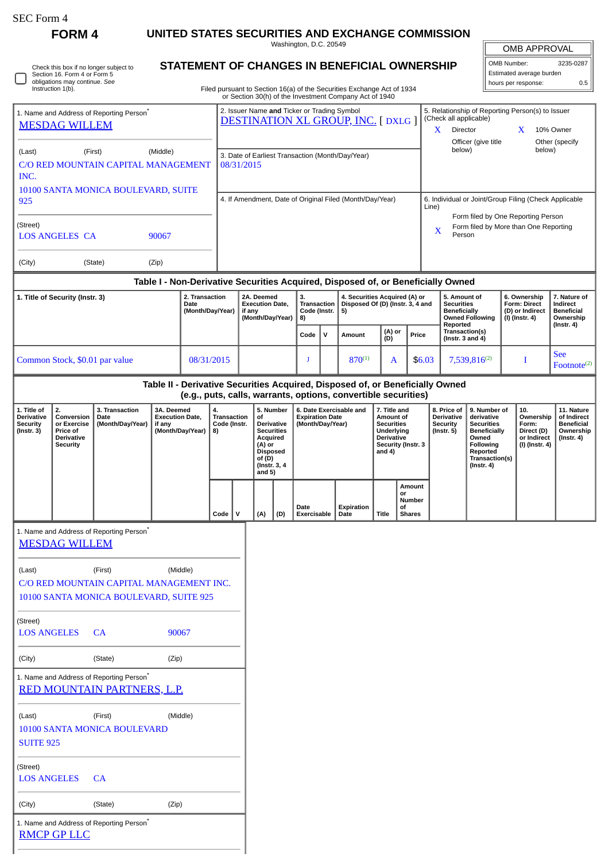| SEC Form 4 |  |
|------------|--|
|------------|--|

**FORM 4 UNITED STATES SECURITIES AND EXCHANGE COMMISSION**

Washington, D.C. 20549

|  | Check this box if no longer subject to<br>Section 16. Form 4 or Form 5<br>obligations may continue. See<br>Instruction 1(b). |
|--|------------------------------------------------------------------------------------------------------------------------------|
|--|------------------------------------------------------------------------------------------------------------------------------|

## **STATEMENT OF CHANGES IN BENEFICIAL OWNERSHIP**

Filed pursuant to Section 16(a) of the Securities Exchange Act of 1934 or Section 30(h) of the Investment Company Act of 1940

| <b>OMB APPROVAL</b>      |           |  |  |  |  |
|--------------------------|-----------|--|--|--|--|
| OMB Number:              | 3235-0287 |  |  |  |  |
| Estimated average burden |           |  |  |  |  |
| hours per response:      | 0.5       |  |  |  |  |

|                                                                                                                                                                   | Instruction 1(b).                                                                   |                                                                                                |                                                                    |                                                                                         |                                                          |                                                                |                                                                   |                                                                                                                                        |                                                                         |                                                                                                              | Filed pursuant to Section 16(a) of the Securities Exchange Act of 1934<br>or Section 30(h) of the Investment Company Act of 1940                |                                                                |                                                                         |                                          |                                                                                                                                                 |                                                                             |                                                                          |                                                                                 |  |  |
|-------------------------------------------------------------------------------------------------------------------------------------------------------------------|-------------------------------------------------------------------------------------|------------------------------------------------------------------------------------------------|--------------------------------------------------------------------|-----------------------------------------------------------------------------------------|----------------------------------------------------------|----------------------------------------------------------------|-------------------------------------------------------------------|----------------------------------------------------------------------------------------------------------------------------------------|-------------------------------------------------------------------------|--------------------------------------------------------------------------------------------------------------|-------------------------------------------------------------------------------------------------------------------------------------------------|----------------------------------------------------------------|-------------------------------------------------------------------------|------------------------------------------|-------------------------------------------------------------------------------------------------------------------------------------------------|-----------------------------------------------------------------------------|--------------------------------------------------------------------------|---------------------------------------------------------------------------------|--|--|
| 1. Name and Address of Reporting Person <sup>®</sup><br><b>MESDAG WILLEM</b>                                                                                      |                                                                                     |                                                                                                |                                                                    | 2. Issuer Name and Ticker or Trading Symbol<br><b>DESTINATION XL GROUP, INC. [DXLG]</b> |                                                          |                                                                |                                                                   |                                                                                                                                        |                                                                         |                                                                                                              | X.                                                                                                                                              | Director                                                       | (Check all applicable)                                                  |                                          | 5. Relationship of Reporting Person(s) to Issuer<br>X                                                                                           | 10% Owner                                                                   |                                                                          |                                                                                 |  |  |
| (Last)<br>INC.                                                                                                                                                    | (Middle)<br>(First)<br>C/O RED MOUNTAIN CAPITAL MANAGEMENT                          |                                                                                                |                                                                    |                                                                                         |                                                          | 3. Date of Earliest Transaction (Month/Day/Year)<br>08/31/2015 |                                                                   |                                                                                                                                        |                                                                         |                                                                                                              |                                                                                                                                                 |                                                                | below)                                                                  | Officer (give title                      |                                                                                                                                                 | below)                                                                      | Other (specify                                                           |                                                                                 |  |  |
| 10100 SANTA MONICA BOULEVARD, SUITE<br>925                                                                                                                        |                                                                                     |                                                                                                |                                                                    |                                                                                         | 4. If Amendment, Date of Original Filed (Month/Day/Year) |                                                                |                                                                   |                                                                                                                                        |                                                                         |                                                                                                              |                                                                                                                                                 | 6. Individual or Joint/Group Filing (Check Applicable<br>Line) |                                                                         |                                          |                                                                                                                                                 |                                                                             |                                                                          |                                                                                 |  |  |
| (Street)                                                                                                                                                          | <b>LOS ANGELES CA</b>                                                               |                                                                                                | 90067                                                              |                                                                                         |                                                          |                                                                |                                                                   |                                                                                                                                        |                                                                         |                                                                                                              |                                                                                                                                                 | X                                                              | Person                                                                  |                                          |                                                                                                                                                 | Form filed by One Reporting Person<br>Form filed by More than One Reporting |                                                                          |                                                                                 |  |  |
| (City)                                                                                                                                                            |                                                                                     | (State)                                                                                        | (Zip)                                                              |                                                                                         |                                                          |                                                                |                                                                   |                                                                                                                                        |                                                                         |                                                                                                              |                                                                                                                                                 |                                                                |                                                                         |                                          |                                                                                                                                                 |                                                                             |                                                                          |                                                                                 |  |  |
| Table I - Non-Derivative Securities Acquired, Disposed of, or Beneficially Owned<br>2. Transaction<br>1. Title of Security (Instr. 3)<br>Date<br>(Month/Day/Year) |                                                                                     |                                                                                                |                                                                    | 2A. Deemed<br><b>Execution Date.</b><br>if any<br>(Month/Day/Year)                      |                                                          |                                                                | 3.<br><b>Transaction</b><br>Code (Instr.<br>8)                    |                                                                                                                                        | 4. Securities Acquired (A) or<br>Disposed Of (D) (Instr. 3, 4 and<br>5) |                                                                                                              |                                                                                                                                                 | 5. Amount of<br><b>Securities</b><br><b>Beneficially</b>       |                                                                         | <b>Owned Following</b>                   | 6. Ownership<br><b>Form: Direct</b><br>(D) or Indirect<br>(I) (Instr. 4)                                                                        |                                                                             | 7. Nature of<br>Indirect<br><b>Beneficial</b><br>Ownership               |                                                                                 |  |  |
|                                                                                                                                                                   |                                                                                     |                                                                                                |                                                                    |                                                                                         |                                                          |                                                                |                                                                   |                                                                                                                                        | Code                                                                    | ${\sf v}$                                                                                                    | Amount                                                                                                                                          | (D)                                                            | (A) or                                                                  | Price                                    | Reported<br>(Instr. 4)<br>Transaction(s)<br>(Instr. $3$ and $4$ )                                                                               |                                                                             |                                                                          |                                                                                 |  |  |
|                                                                                                                                                                   | Common Stock, \$0.01 par value<br>08/31/2015                                        |                                                                                                |                                                                    |                                                                                         |                                                          | $870^{(1)}$<br>A<br>J                                          |                                                                   |                                                                                                                                        | \$6.03                                                                  |                                                                                                              | 7,539,816 <sup>(2)</sup>                                                                                                                        |                                                                |                                                                         | I                                        | <b>See</b><br>$\text{Footnote}^{(2)}$                                                                                                           |                                                                             |                                                                          |                                                                                 |  |  |
|                                                                                                                                                                   |                                                                                     |                                                                                                |                                                                    |                                                                                         |                                                          |                                                                |                                                                   |                                                                                                                                        |                                                                         |                                                                                                              | Table II - Derivative Securities Acquired, Disposed of, or Beneficially Owned<br>(e.g., puts, calls, warrants, options, convertible securities) |                                                                |                                                                         |                                          |                                                                                                                                                 |                                                                             |                                                                          |                                                                                 |  |  |
| 1. Title of<br><b>Derivative</b><br><b>Security</b><br>(Instr. 3)                                                                                                 | 2.<br>Conversion<br>or Exercise<br>Price of<br><b>Derivative</b><br><b>Security</b> | 3. Transaction<br>Date<br>(Month/Day/Year)                                                     | 3A. Deemed<br><b>Execution Date,</b><br>if any<br>(Month/Day/Year) |                                                                                         | 4.<br>Transaction<br>Code (Instr.<br>8)                  |                                                                | οf<br>Acquired<br>(A) or<br><b>Disposed</b><br>of (D)<br>and $5)$ | 5. Number<br>6. Date Exercisable and<br><b>Expiration Date</b><br>(Month/Day/Year)<br>Derivative<br><b>Securities</b><br>(Instr. 3, 4) |                                                                         | 7. Title and<br>Amount of<br><b>Securities</b><br>Underlying<br>Derivative<br>Security (Instr. 3<br>and $4)$ |                                                                                                                                                 |                                                                | 8. Price of<br><b>Derivative</b><br><b>Security</b><br>$($ Instr. 5 $)$ |                                          | 9. Number of<br>derivative<br><b>Securities</b><br><b>Beneficially</b><br>Owned<br><b>Following</b><br>Reported<br>Transaction(s)<br>(Instr. 4) |                                                                             | 10.<br>Ownership<br>Form:<br>Direct (D)<br>or Indirect<br>(I) (Instr. 4) | 11. Nature<br>of Indirect<br><b>Beneficial</b><br>Ownership<br>$($ Instr. 4 $)$ |  |  |
|                                                                                                                                                                   |                                                                                     |                                                                                                |                                                                    |                                                                                         | Code                                                     | v                                                              | (A)                                                               | (D)                                                                                                                                    | Date<br>Exercisable                                                     |                                                                                                              | Expiration<br>Date                                                                                                                              | <b>Title</b>                                                   | or<br>οf                                                                | Amount<br><b>Number</b><br><b>Shares</b> |                                                                                                                                                 |                                                                             |                                                                          |                                                                                 |  |  |
|                                                                                                                                                                   | <b>MESDAG WILLEM</b>                                                                | 1. Name and Address of Reporting Person <sup>®</sup>                                           |                                                                    |                                                                                         |                                                          |                                                                |                                                                   |                                                                                                                                        |                                                                         |                                                                                                              |                                                                                                                                                 |                                                                |                                                                         |                                          |                                                                                                                                                 |                                                                             |                                                                          |                                                                                 |  |  |
| (Last)                                                                                                                                                            |                                                                                     | (First)<br>C/O RED MOUNTAIN CAPITAL MANAGEMENT INC.<br>10100 SANTA MONICA BOULEVARD, SUITE 925 | (Middle)                                                           |                                                                                         |                                                          |                                                                |                                                                   |                                                                                                                                        |                                                                         |                                                                                                              |                                                                                                                                                 |                                                                |                                                                         |                                          |                                                                                                                                                 |                                                                             |                                                                          |                                                                                 |  |  |
| (Street)<br><b>LOS ANGELES</b>                                                                                                                                    |                                                                                     | <b>CA</b>                                                                                      | 90067                                                              |                                                                                         |                                                          |                                                                |                                                                   |                                                                                                                                        |                                                                         |                                                                                                              |                                                                                                                                                 |                                                                |                                                                         |                                          |                                                                                                                                                 |                                                                             |                                                                          |                                                                                 |  |  |
| (City)                                                                                                                                                            |                                                                                     | (State)                                                                                        | (Zip)                                                              |                                                                                         |                                                          |                                                                |                                                                   |                                                                                                                                        |                                                                         |                                                                                                              |                                                                                                                                                 |                                                                |                                                                         |                                          |                                                                                                                                                 |                                                                             |                                                                          |                                                                                 |  |  |
|                                                                                                                                                                   |                                                                                     | 1. Name and Address of Reporting Person <sup>7</sup>                                           |                                                                    |                                                                                         |                                                          |                                                                |                                                                   |                                                                                                                                        |                                                                         |                                                                                                              |                                                                                                                                                 |                                                                |                                                                         |                                          |                                                                                                                                                 |                                                                             |                                                                          |                                                                                 |  |  |

## [RED MOUNTAIN PARTNERS, L.P.](http://www.sec.gov/cgi-bin/browse-edgar?action=getcompany&CIK=0001374603)

| (Last) | (First)                      | (Middle) |
|--------|------------------------------|----------|
|        | 10100 SANTA MONICA BOULEVARD |          |
|        |                              |          |

| u u |   |
|-----|---|
| ы.  | ٠ |
|     |   |

(Street)

 $\overline{a}$ 

LOS ANGELES CA

(City) (State) (Zip)

| 1. Name and Address of Reporting Person* |  |
|------------------------------------------|--|
| <b>RMCP GP LLC</b>                       |  |